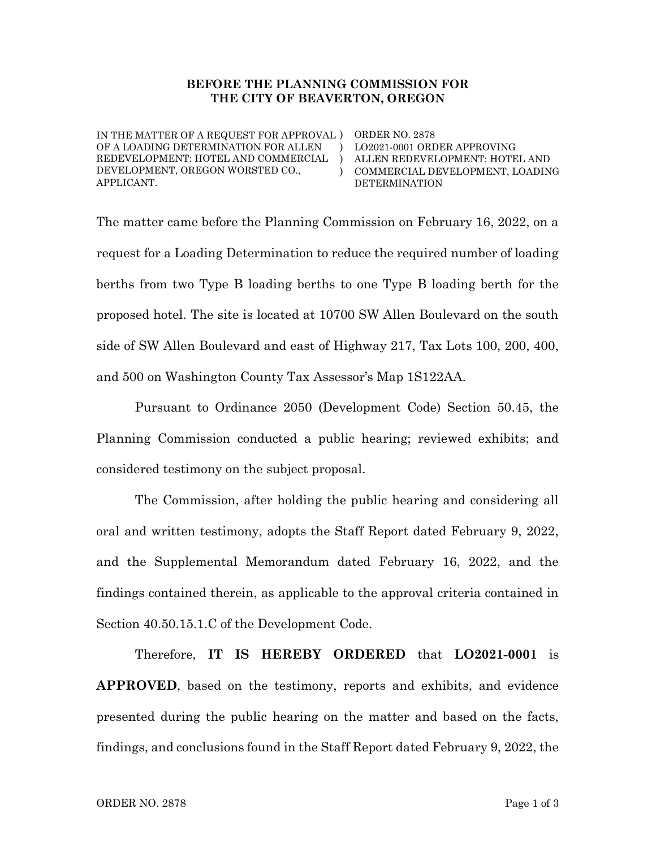#### BEFORE THE PLANNING COMMISSION FOR THE CITY OF BEAVERTON, OREGON

 $\lambda$ )

IN THE MATTER OF A REQUEST FOR APPROVAL ) ORDER NO. 2878 OF A LOADING DETERMINATION FOR ALLEN REDEVELOPMENT: HOTEL AND COMMERCIAL DEVELOPMENT, OREGON WORSTED CO., APPLICANT.

 $\lambda$ LO2021-0001 ORDER APPROVING ALLEN REDEVELOPMENT: HOTEL AND COMMERCIAL DEVELOPMENT, LOADING DETERMINATION

The matter came before the Planning Commission on February 16, 2022, on a request for a Loading Determination to reduce the required number of loading berths from two Type B loading berths to one Type B loading berth for the proposed hotel. The site is located at 10700 SW Allen Boulevard on the south side of SW Allen Boulevard and east of Highway 217, Tax Lots 100, 200, 400, and 500 on Washington County Tax Assessor's Map 1S122AA.

Pursuant to Ordinance 2050 (Development Code) Section 50.45, the Planning Commission conducted a public hearing; reviewed exhibits; and considered testimony on the subject proposal.

The Commission, after holding the public hearing and considering all oral and written testimony, adopts the Staff Report dated February 9, 2022, and the Supplemental Memorandum dated February 16, 2022, and the findings contained therein, as applicable to the approval criteria contained in Section 40.50.15.1.C of the Development Code.

Therefore, IT IS HEREBY ORDERED that LO2021-0001 is APPROVED, based on the testimony, reports and exhibits, and evidence presented during the public hearing on the matter and based on the facts, findings, and conclusions found in the Staff Report dated February 9, 2022, the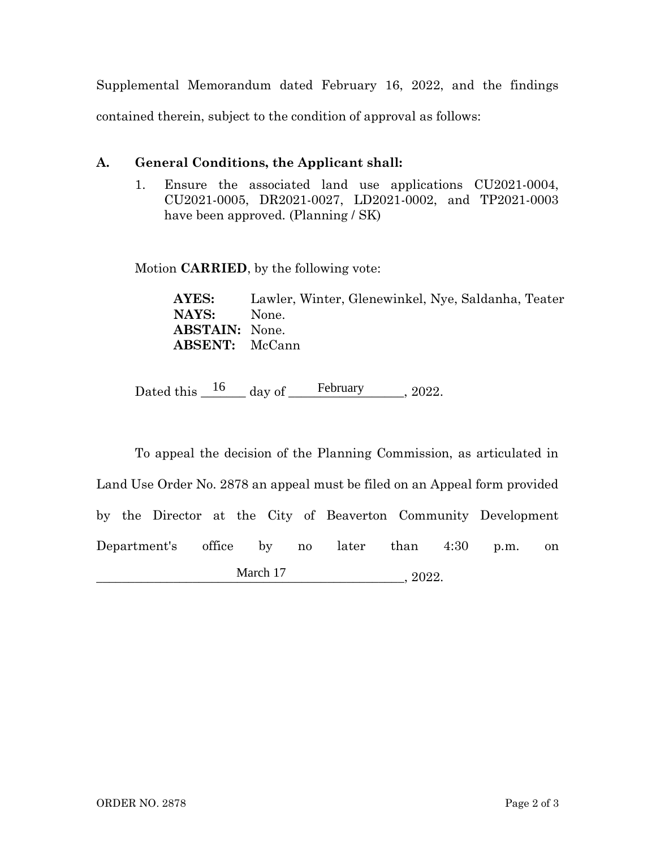Supplemental Memorandum dated February 16, 2022, and the findings contained therein, subject to the condition of approval as follows:

# A. General Conditions, the Applicant shall:

1. Ensure the associated land use applications CU2021-0004, CU2021-0005, DR2021-0027, LD2021-0002, and TP2021-0003 have been approved. (Planning / SK)

Motion CARRIED, by the following vote:

AYES: Lawler, Winter, Glenewinkel, Nye, Saldanha, Teater NAYS: None. ABSTAIN: None. ABSENT: McCann

Dated this  $\frac{16}{\text{day of}}$  ef February 2022.

To appeal the decision of the Planning Commission, as articulated in Land Use Order No. 2878 an appeal must be filed on an Appeal form provided by the Director at the City of Beaverton Community Development Department's office by no later than 4:30 p.m. on  $, 2022.$ March 17